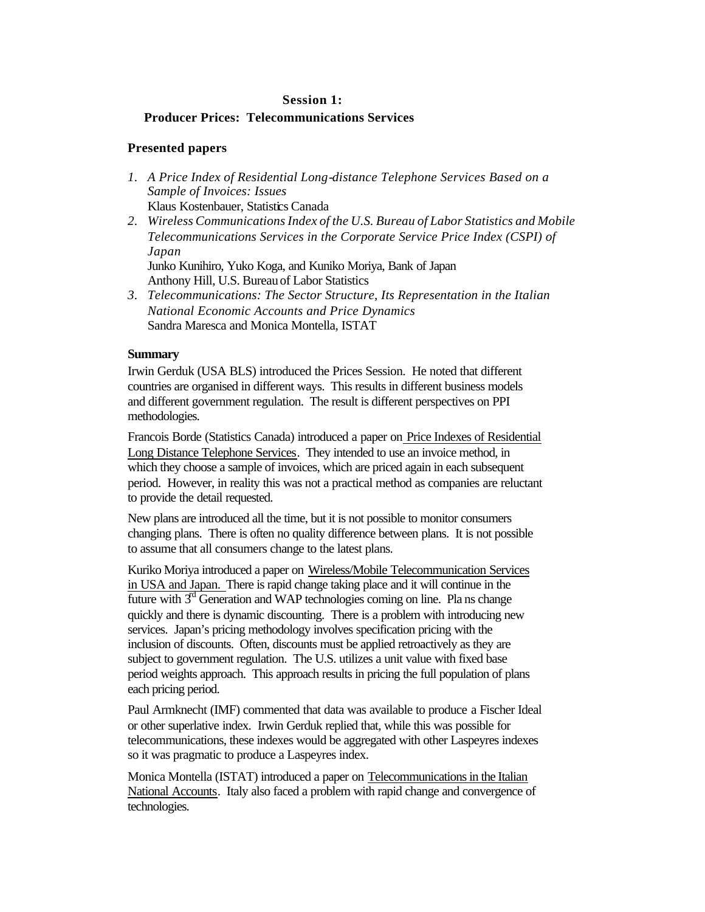## **Producer Prices: Telecommunications Services**

## **Presented papers**

- *1. A Price Index of Residential Long-distance Telephone Services Based on a Sample of Invoices: Issues* Klaus Kostenbauer, Statistics Canada
- *2. Wireless Communications Index of the U.S. Bureau of Labor Statistics and Mobile Telecommunications Services in the Corporate Service Price Index (CSPI) of Japan* Junko Kunihiro, Yuko Koga, and Kuniko Moriya, Bank of Japan

Anthony Hill, U.S. Bureau of Labor Statistics

*3. Telecommunications: The Sector Structure, Its Representation in the Italian National Economic Accounts and Price Dynamics* Sandra Maresca and Monica Montella, ISTAT

## **Summary**

Irwin Gerduk (USA BLS) introduced the Prices Session. He noted that different countries are organised in different ways. This results in different business models and different government regulation. The result is different perspectives on PPI methodologies.

Francois Borde (Statistics Canada) introduced a paper on Price Indexes of Residential Long Distance Telephone Services. They intended to use an invoice method, in which they choose a sample of invoices, which are priced again in each subsequent period. However, in reality this was not a practical method as companies are reluctant to provide the detail requested.

New plans are introduced all the time, but it is not possible to monitor consumers changing plans. There is often no quality difference between plans. It is not possible to assume that all consumers change to the latest plans.

Kuriko Moriya introduced a paper on Wireless/Mobile Telecommunication Services in USA and Japan. There is rapid change taking place and it will continue in the future with  $3<sup>d</sup>$  Generation and WAP technologies coming on line. Pla ns change quickly and there is dynamic discounting. There is a problem with introducing new services. Japan's pricing methodology involves specification pricing with the inclusion of discounts. Often, discounts must be applied retroactively as they are subject to government regulation. The U.S. utilizes a unit value with fixed base period weights approach. This approach results in pricing the full population of plans each pricing period.

Paul Armknecht (IMF) commented that data was available to produce a Fischer Ideal or other superlative index. Irwin Gerduk replied that, while this was possible for telecommunications, these indexes would be aggregated with other Laspeyres indexes so it was pragmatic to produce a Laspeyres index.

Monica Montella (ISTAT) introduced a paper on Telecommunications in the Italian National Accounts. Italy also faced a problem with rapid change and convergence of technologies.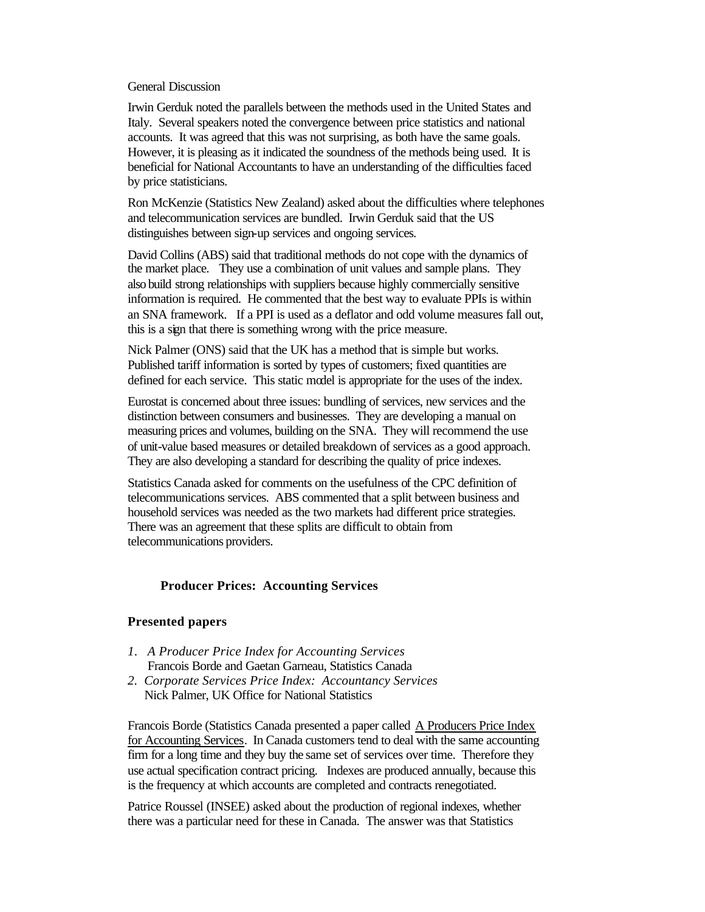#### General Discussion

Irwin Gerduk noted the parallels between the methods used in the United States and Italy. Several speakers noted the convergence between price statistics and national accounts. It was agreed that this was not surprising, as both have the same goals. However, it is pleasing as it indicated the soundness of the methods being used. It is beneficial for National Accountants to have an understanding of the difficulties faced by price statisticians.

Ron McKenzie (Statistics New Zealand) asked about the difficulties where telephones and telecommunication services are bundled. Irwin Gerduk said that the US distinguishes between sign-up services and ongoing services.

David Collins (ABS) said that traditional methods do not cope with the dynamics of the market place. They use a combination of unit values and sample plans. They also build strong relationships with suppliers because highly commercially sensitive information is required. He commented that the best way to evaluate PPIs is within an SNA framework. If a PPI is used as a deflator and odd volume measures fall out, this is a sign that there is something wrong with the price measure.

Nick Palmer (ONS) said that the UK has a method that is simple but works. Published tariff information is sorted by types of customers; fixed quantities are defined for each service. This static model is appropriate for the uses of the index.

Eurostat is concerned about three issues: bundling of services, new services and the distinction between consumers and businesses. They are developing a manual on measuring prices and volumes, building on the SNA. They will recommend the use of unit-value based measures or detailed breakdown of services as a good approach. They are also developing a standard for describing the quality of price indexes.

Statistics Canada asked for comments on the usefulness of the CPC definition of telecommunications services. ABS commented that a split between business and household services was needed as the two markets had different price strategies. There was an agreement that these splits are difficult to obtain from telecommunications providers.

## **Producer Prices: Accounting Services**

## **Presented papers**

- *1. A Producer Price Index for Accounting Services* Francois Borde and Gaetan Garneau, Statistics Canada
- *2. Corporate Services Price Index: Accountancy Services* Nick Palmer, UK Office for National Statistics

Francois Borde (Statistics Canada presented a paper called A Producers Price Index for Accounting Services. In Canada customers tend to deal with the same accounting firm for a long time and they buy the same set of services over time. Therefore they use actual specification contract pricing. Indexes are produced annually, because this is the frequency at which accounts are completed and contracts renegotiated.

Patrice Roussel (INSEE) asked about the production of regional indexes, whether there was a particular need for these in Canada. The answer was that Statistics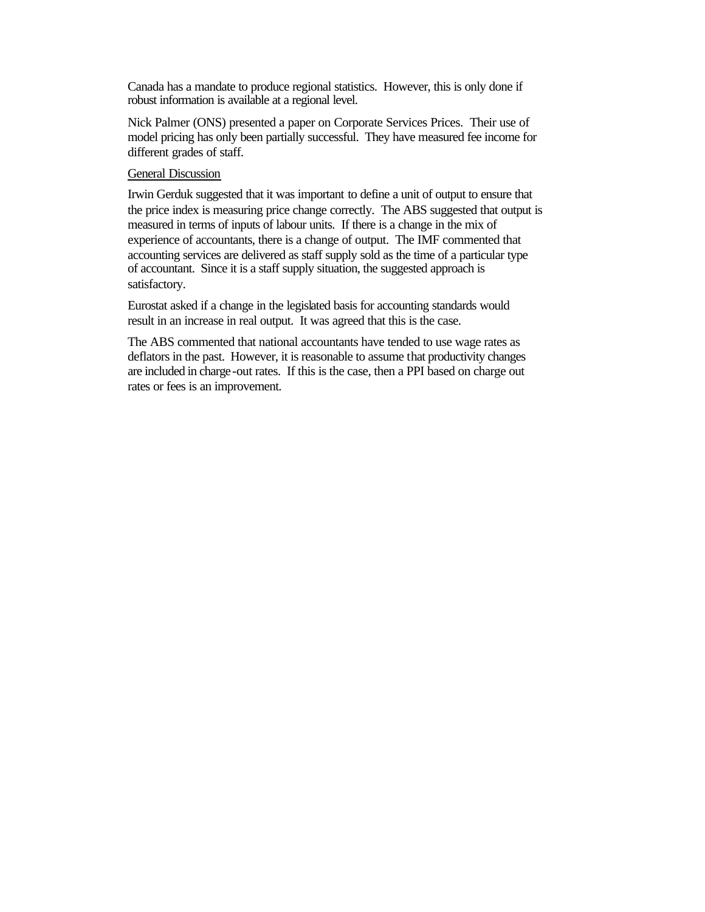Canada has a mandate to produce regional statistics. However, this is only done if robust information is available at a regional level.

Nick Palmer (ONS) presented a paper on Corporate Services Prices. Their use of model pricing has only been partially successful. They have measured fee income for different grades of staff.

## General Discussion

Irwin Gerduk suggested that it was important to define a unit of output to ensure that the price index is measuring price change correctly. The ABS suggested that output is measured in terms of inputs of labour units. If there is a change in the mix of experience of accountants, there is a change of output. The IMF commented that accounting services are delivered as staff supply sold as the time of a particular type of accountant. Since it is a staff supply situation, the suggested approach is satisfactory.

Eurostat asked if a change in the legislated basis for accounting standards would result in an increase in real output. It was agreed that this is the case.

The ABS commented that national accountants have tended to use wage rates as deflators in the past. However, it is reasonable to assume that productivity changes are included in charge-out rates. If this is the case, then a PPI based on charge out rates or fees is an improvement.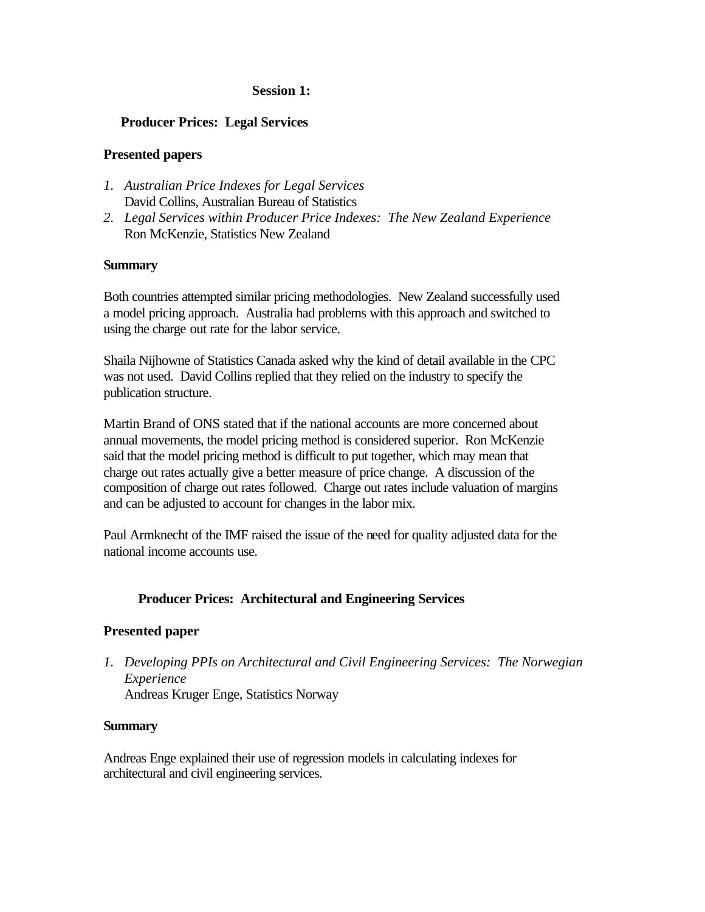# **Producer Prices: Legal Services**

# **Presented papers**

- *1. Australian Price Indexes for Legal Services* David Collins, Australian Bureau of Statistics
- *2. Legal Services within Producer Price Indexes: The New Zealand Experience* Ron McKenzie, Statistics New Zealand

# **Summary**

Both countries attempted similar pricing methodologies. New Zealand successfully used a model pricing approach. Australia had problems with this approach and switched to using the charge out rate for the labor service.

Shaila Nijhowne of Statistics Canada asked why the kind of detail available in the CPC was not used. David Collins replied that they relied on the industry to specify the publication structure.

Martin Brand of ONS stated that if the national accounts are more concerned about annual movements, the model pricing method is considered superior. Ron McKenzie said that the model pricing method is difficult to put together, which may mean that charge out rates actually give a better measure of price change. A discussion of the composition of charge out rates followed. Charge out rates include valuation of margins and can be adjusted to account for changes in the labor mix.

Paul Armknecht of the IMF raised the issue of the need for quality adjusted data for the national income accounts use.

# **Producer Prices: Architectural and Engineering Services**

# **Presented paper**

*1. Developing PPIs on Architectural and Civil Engineering Services: The Norwegian Experience* Andreas Kruger Enge, Statistics Norway

## **Summary**

Andreas Enge explained their use of regression models in calculating indexes for architectural and civil engineering services.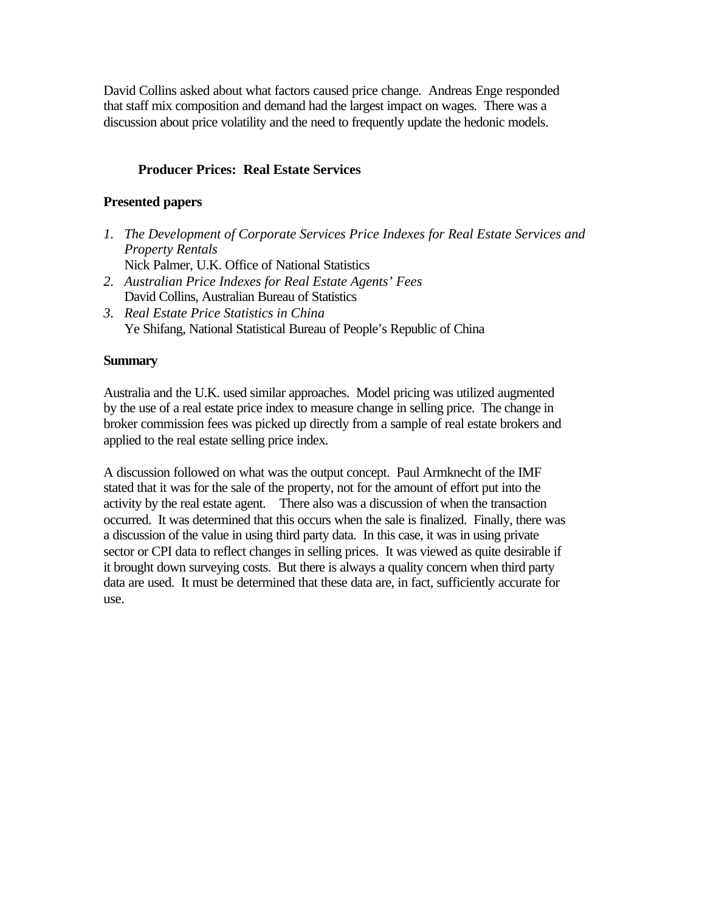David Collins asked about what factors caused price change. Andreas Enge responded that staff mix composition and demand had the largest impact on wages. There was a discussion about price volatility and the need to frequently update the hedonic models.

# **Producer Prices: Real Estate Services**

# **Presented papers**

- *1. The Development of Corporate Services Price Indexes for Real Estate Services and Property Rentals* Nick Palmer, U.K. Office of National Statistics
- *2. Australian Price Indexes for Real Estate Agents' Fees* David Collins, Australian Bureau of Statistics
- *3. Real Estate Price Statistics in China* Ye Shifang, National Statistical Bureau of People's Republic of China

## **Summary**

Australia and the U.K. used similar approaches. Model pricing was utilized augmented by the use of a real estate price index to measure change in selling price. The change in broker commission fees was picked up directly from a sample of real estate brokers and applied to the real estate selling price index.

A discussion followed on what was the output concept. Paul Armknecht of the IMF stated that it was for the sale of the property, not for the amount of effort put into the activity by the real estate agent. There also was a discussion of when the transaction occurred. It was determined that this occurs when the sale is finalized. Finally, there was a discussion of the value in using third party data. In this case, it was in using private sector or CPI data to reflect changes in selling prices. It was viewed as quite desirable if it brought down surveying costs. But there is always a quality concern when third party data are used. It must be determined that these data are, in fact, sufficiently accurate for use.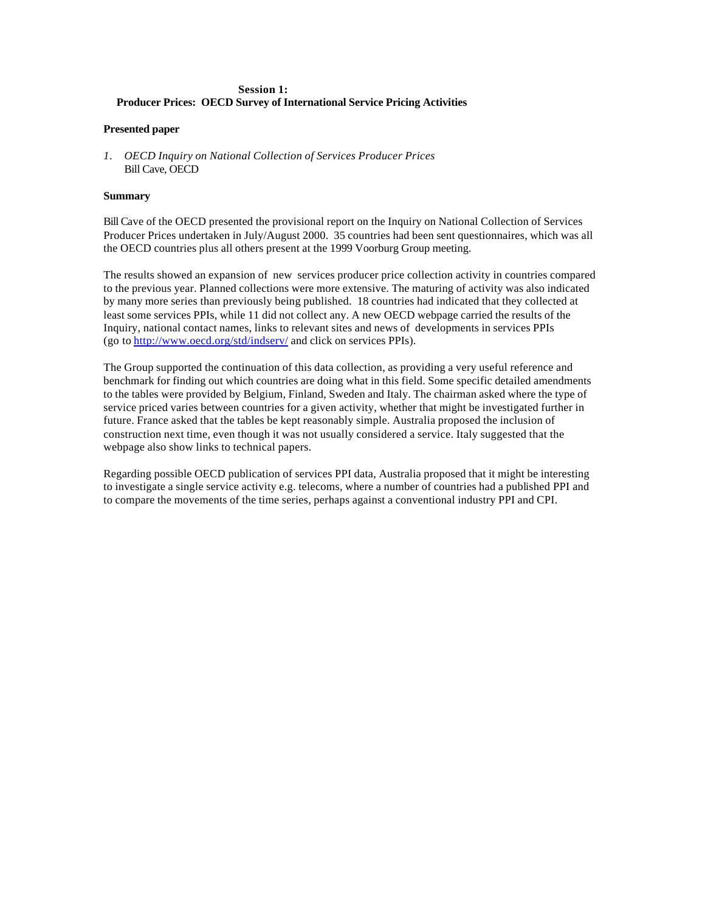### **Session 1: Producer Prices: OECD Survey of International Service Pricing Activities**

#### **Presented paper**

*1. OECD Inquiry on National Collection of Services Producer Prices* Bill Cave, OECD

#### **Summary**

Bill Cave of the OECD presented the provisional report on the Inquiry on National Collection of Services Producer Prices undertaken in July/August 2000. 35 countries had been sent questionnaires, which was all the OECD countries plus all others present at the 1999 Voorburg Group meeting.

The results showed an expansion of new services producer price collection activity in countries compared to the previous year. Planned collections were more extensive. The maturing of activity was also indicated by many more series than previously being published. 18 countries had indicated that they collected at least some services PPIs, while 11 did not collect any. A new OECD webpage carried the results of the Inquiry, national contact names, links to relevant sites and news of developments in services PPIs (go to http://www.oecd.org/std/indserv/ and click on services PPIs).

The Group supported the continuation of this data collection, as providing a very useful reference and benchmark for finding out which countries are doing what in this field. Some specific detailed amendments to the tables were provided by Belgium, Finland, Sweden and Italy. The chairman asked where the type of service priced varies between countries for a given activity, whether that might be investigated further in future. France asked that the tables be kept reasonably simple. Australia proposed the inclusion of construction next time, even though it was not usually considered a service. Italy suggested that the webpage also show links to technical papers.

Regarding possible OECD publication of services PPI data, Australia proposed that it might be interesting to investigate a single service activity e.g. telecoms, where a number of countries had a published PPI and to compare the movements of the time series, perhaps against a conventional industry PPI and CPI.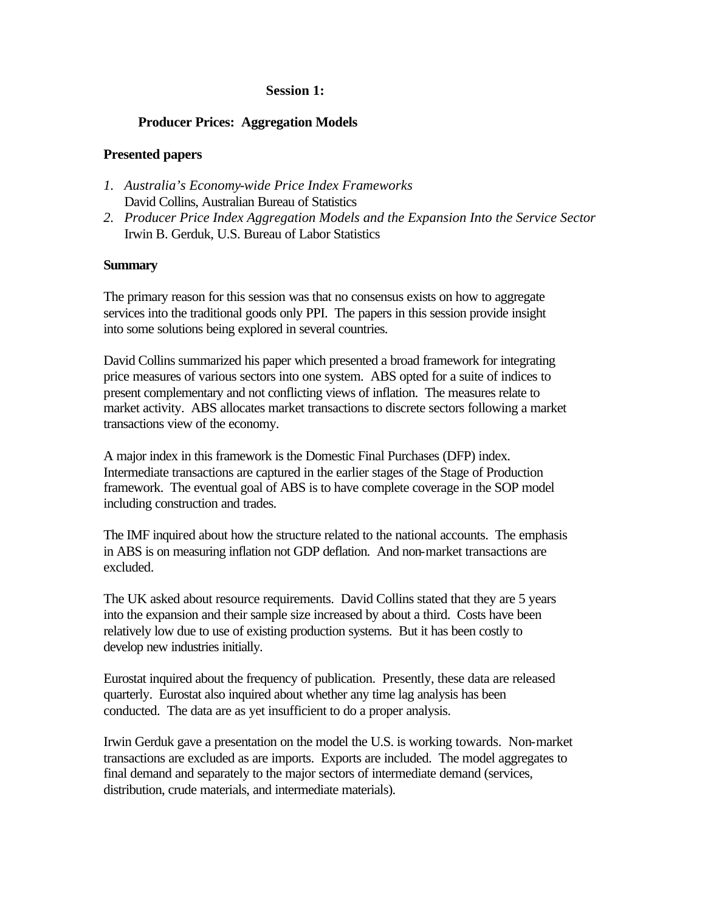## **Producer Prices: Aggregation Models**

## **Presented papers**

- *1. Australia's Economy-wide Price Index Frameworks* David Collins, Australian Bureau of Statistics
- *2. Producer Price Index Aggregation Models and the Expansion Into the Service Sector* Irwin B. Gerduk, U.S. Bureau of Labor Statistics

## **Summary**

The primary reason for this session was that no consensus exists on how to aggregate services into the traditional goods only PPI. The papers in this session provide insight into some solutions being explored in several countries.

David Collins summarized his paper which presented a broad framework for integrating price measures of various sectors into one system. ABS opted for a suite of indices to present complementary and not conflicting views of inflation. The measures relate to market activity. ABS allocates market transactions to discrete sectors following a market transactions view of the economy.

A major index in this framework is the Domestic Final Purchases (DFP) index. Intermediate transactions are captured in the earlier stages of the Stage of Production framework. The eventual goal of ABS is to have complete coverage in the SOP model including construction and trades.

The IMF inquired about how the structure related to the national accounts. The emphasis in ABS is on measuring inflation not GDP deflation. And non-market transactions are excluded.

The UK asked about resource requirements. David Collins stated that they are 5 years into the expansion and their sample size increased by about a third. Costs have been relatively low due to use of existing production systems. But it has been costly to develop new industries initially.

Eurostat inquired about the frequency of publication. Presently, these data are released quarterly. Eurostat also inquired about whether any time lag analysis has been conducted. The data are as yet insufficient to do a proper analysis.

Irwin Gerduk gave a presentation on the model the U.S. is working towards. Non-market transactions are excluded as are imports. Exports are included. The model aggregates to final demand and separately to the major sectors of intermediate demand (services, distribution, crude materials, and intermediate materials).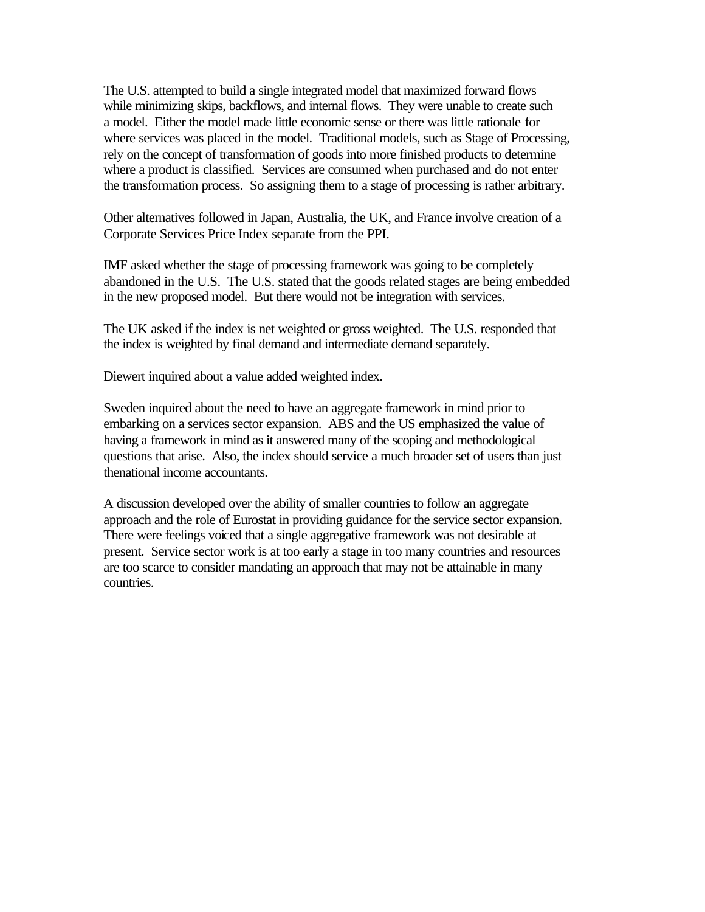The U.S. attempted to build a single integrated model that maximized forward flows while minimizing skips, backflows, and internal flows. They were unable to create such a model. Either the model made little economic sense or there was little rationale for where services was placed in the model. Traditional models, such as Stage of Processing, rely on the concept of transformation of goods into more finished products to determine where a product is classified. Services are consumed when purchased and do not enter the transformation process. So assigning them to a stage of processing is rather arbitrary.

Other alternatives followed in Japan, Australia, the UK, and France involve creation of a Corporate Services Price Index separate from the PPI.

IMF asked whether the stage of processing framework was going to be completely abandoned in the U.S. The U.S. stated that the goods related stages are being embedded in the new proposed model. But there would not be integration with services.

The UK asked if the index is net weighted or gross weighted. The U.S. responded that the index is weighted by final demand and intermediate demand separately.

Diewert inquired about a value added weighted index.

Sweden inquired about the need to have an aggregate framework in mind prior to embarking on a services sector expansion. ABS and the US emphasized the value of having a framework in mind as it answered many of the scoping and methodological questions that arise. Also, the index should service a much broader set of users than just thenational income accountants.

A discussion developed over the ability of smaller countries to follow an aggregate approach and the role of Eurostat in providing guidance for the service sector expansion. There were feelings voiced that a single aggregative framework was not desirable at present. Service sector work is at too early a stage in too many countries and resources are too scarce to consider mandating an approach that may not be attainable in many countries.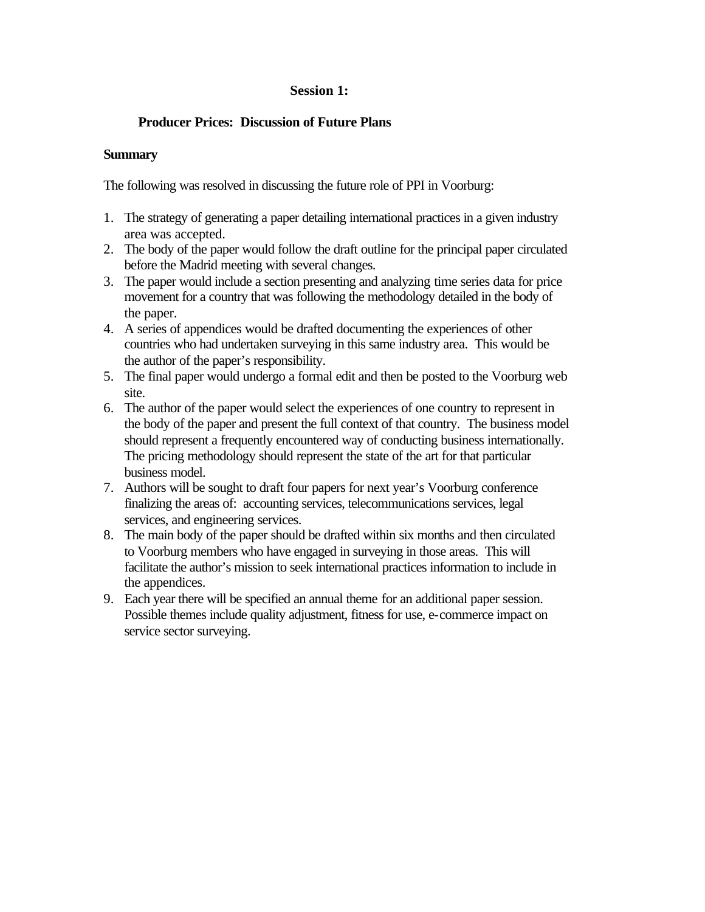# **Producer Prices: Discussion of Future Plans**

## **Summary**

The following was resolved in discussing the future role of PPI in Voorburg:

- 1. The strategy of generating a paper detailing international practices in a given industry area was accepted.
- 2. The body of the paper would follow the draft outline for the principal paper circulated before the Madrid meeting with several changes.
- 3. The paper would include a section presenting and analyzing time series data for price movement for a country that was following the methodology detailed in the body of the paper.
- 4. A series of appendices would be drafted documenting the experiences of other countries who had undertaken surveying in this same industry area. This would be the author of the paper's responsibility.
- 5. The final paper would undergo a formal edit and then be posted to the Voorburg web site.
- 6. The author of the paper would select the experiences of one country to represent in the body of the paper and present the full context of that country. The business model should represent a frequently encountered way of conducting business internationally. The pricing methodology should represent the state of the art for that particular business model.
- 7. Authors will be sought to draft four papers for next year's Voorburg conference finalizing the areas of: accounting services, telecommunications services, legal services, and engineering services.
- 8. The main body of the paper should be drafted within six months and then circulated to Voorburg members who have engaged in surveying in those areas. This will facilitate the author's mission to seek international practices information to include in the appendices.
- 9. Each year there will be specified an annual theme for an additional paper session. Possible themes include quality adjustment, fitness for use, e-commerce impact on service sector surveying.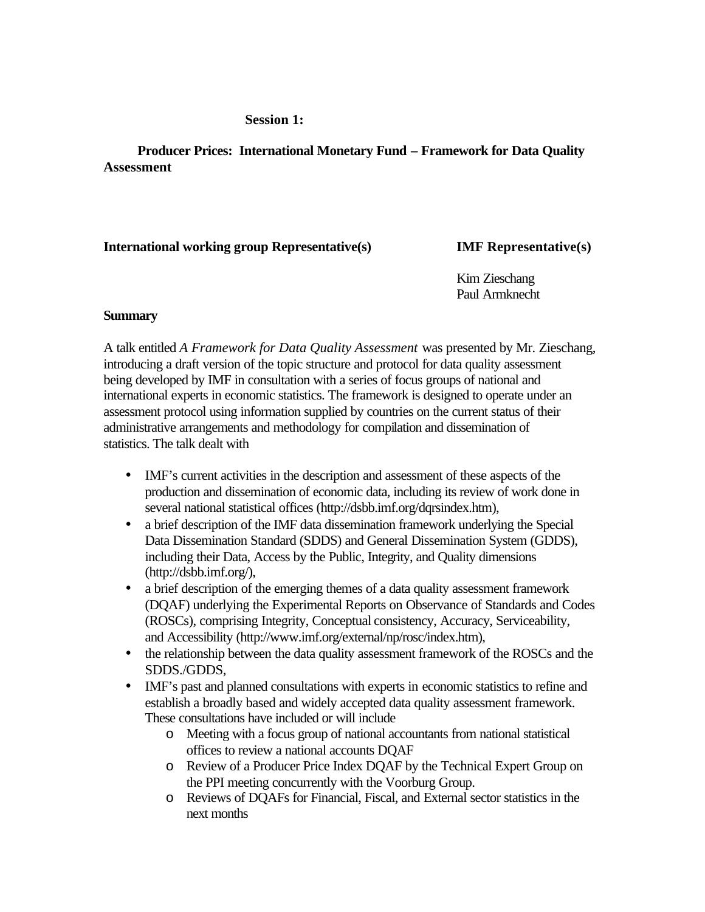**Producer Prices: International Monetary Fund – Framework for Data Quality Assessment**

# **International working group Representative(s) IMF Representative(s)**

Kim Zieschang Paul Armknecht

## **Summary**

A talk entitled *A Framework for Data Quality Assessment* was presented by Mr. Zieschang, introducing a draft version of the topic structure and protocol for data quality assessment being developed by IMF in consultation with a series of focus groups of national and international experts in economic statistics. The framework is designed to operate under an assessment protocol using information supplied by countries on the current status of their administrative arrangements and methodology for compilation and dissemination of statistics. The talk dealt with

- IMF's current activities in the description and assessment of these aspects of the production and dissemination of economic data, including its review of work done in several national statistical offices (http://dsbb.imf.org/dqrsindex.htm),
- a brief description of the IMF data dissemination framework underlying the Special Data Dissemination Standard (SDDS) and General Dissemination System (GDDS), including their Data, Access by the Public, Integrity, and Quality dimensions (http://dsbb.imf.org/),
- a brief description of the emerging themes of a data quality assessment framework (DQAF) underlying the Experimental Reports on Observance of Standards and Codes (ROSCs), comprising Integrity, Conceptual consistency, Accuracy, Serviceability, and Accessibility (http://www.imf.org/external/np/rosc/index.htm),
- the relationship between the data quality assessment framework of the ROSCs and the SDDS./GDDS,
- IMF's past and planned consultations with experts in economic statistics to refine and establish a broadly based and widely accepted data quality assessment framework. These consultations have included or will include
	- o Meeting with a focus group of national accountants from national statistical offices to review a national accounts DQAF
	- o Review of a Producer Price Index DQAF by the Technical Expert Group on the PPI meeting concurrently with the Voorburg Group.
	- o Reviews of DQAFs for Financial, Fiscal, and External sector statistics in the next months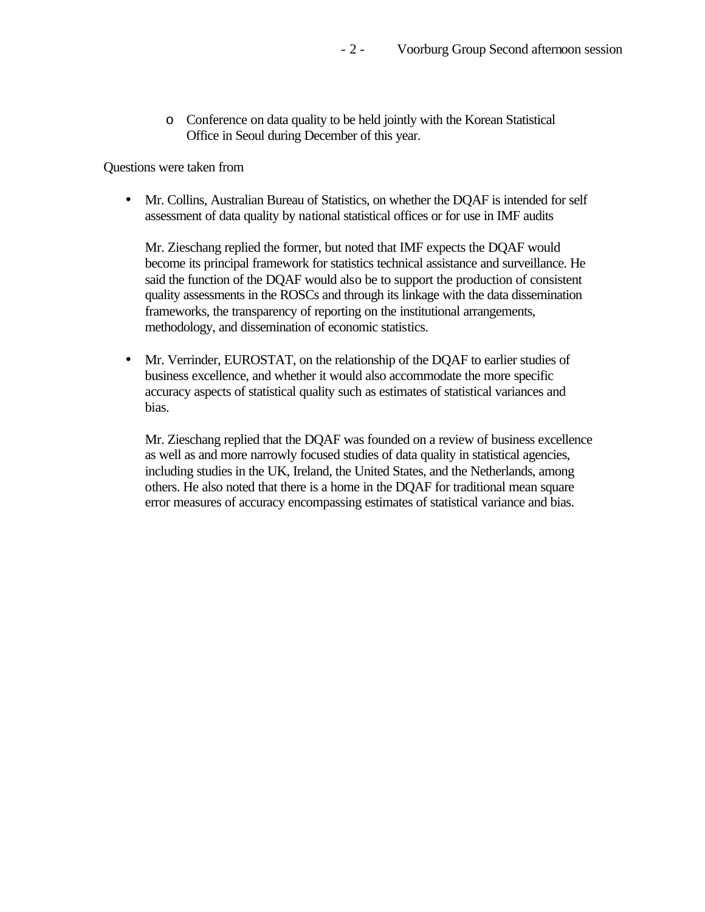o Conference on data quality to be held jointly with the Korean Statistical Office in Seoul during December of this year.

Questions were taken from

• Mr. Collins, Australian Bureau of Statistics, on whether the DOAF is intended for self assessment of data quality by national statistical offices or for use in IMF audits

Mr. Zieschang replied the former, but noted that IMF expects the DQAF would become its principal framework for statistics technical assistance and surveillance. He said the function of the DQAF would also be to support the production of consistent quality assessments in the ROSCs and through its linkage with the data dissemination frameworks, the transparency of reporting on the institutional arrangements, methodology, and dissemination of economic statistics.

• Mr. Verrinder, EUROSTAT, on the relationship of the DQAF to earlier studies of business excellence, and whether it would also accommodate the more specific accuracy aspects of statistical quality such as estimates of statistical variances and bias.

Mr. Zieschang replied that the DQAF was founded on a review of business excellence as well as and more narrowly focused studies of data quality in statistical agencies, including studies in the UK, Ireland, the United States, and the Netherlands, among others. He also noted that there is a home in the DQAF for traditional mean square error measures of accuracy encompassing estimates of statistical variance and bias.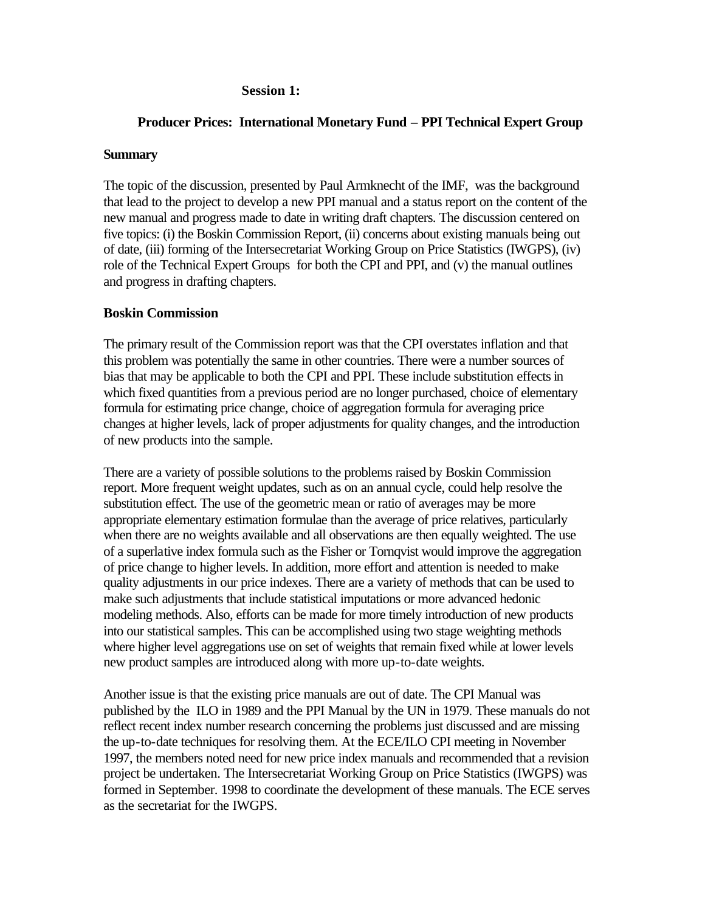## **Producer Prices: International Monetary Fund – PPI Technical Expert Group**

## **Summary**

The topic of the discussion, presented by Paul Armknecht of the IMF, was the background that lead to the project to develop a new PPI manual and a status report on the content of the new manual and progress made to date in writing draft chapters. The discussion centered on five topics: (i) the Boskin Commission Report, (ii) concerns about existing manuals being out of date, (iii) forming of the Intersecretariat Working Group on Price Statistics (IWGPS), (iv) role of the Technical Expert Groups for both the CPI and PPI, and (v) the manual outlines and progress in drafting chapters.

## **Boskin Commission**

The primary result of the Commission report was that the CPI overstates inflation and that this problem was potentially the same in other countries. There were a number sources of bias that may be applicable to both the CPI and PPI. These include substitution effects in which fixed quantities from a previous period are no longer purchased, choice of elementary formula for estimating price change, choice of aggregation formula for averaging price changes at higher levels, lack of proper adjustments for quality changes, and the introduction of new products into the sample.

There are a variety of possible solutions to the problems raised by Boskin Commission report. More frequent weight updates, such as on an annual cycle, could help resolve the substitution effect. The use of the geometric mean or ratio of averages may be more appropriate elementary estimation formulae than the average of price relatives, particularly when there are no weights available and all observations are then equally weighted. The use of a superlative index formula such as the Fisher or Tornqvist would improve the aggregation of price change to higher levels. In addition, more effort and attention is needed to make quality adjustments in our price indexes. There are a variety of methods that can be used to make such adjustments that include statistical imputations or more advanced hedonic modeling methods. Also, efforts can be made for more timely introduction of new products into our statistical samples. This can be accomplished using two stage weighting methods where higher level aggregations use on set of weights that remain fixed while at lower levels new product samples are introduced along with more up-to-date weights.

Another issue is that the existing price manuals are out of date. The CPI Manual was published by the ILO in 1989 and the PPI Manual by the UN in 1979. These manuals do not reflect recent index number research concerning the problems just discussed and are missing the up-to-date techniques for resolving them. At the ECE/ILO CPI meeting in November 1997, the members noted need for new price index manuals and recommended that a revision project be undertaken. The Intersecretariat Working Group on Price Statistics (IWGPS) was formed in September. 1998 to coordinate the development of these manuals. The ECE serves as the secretariat for the IWGPS.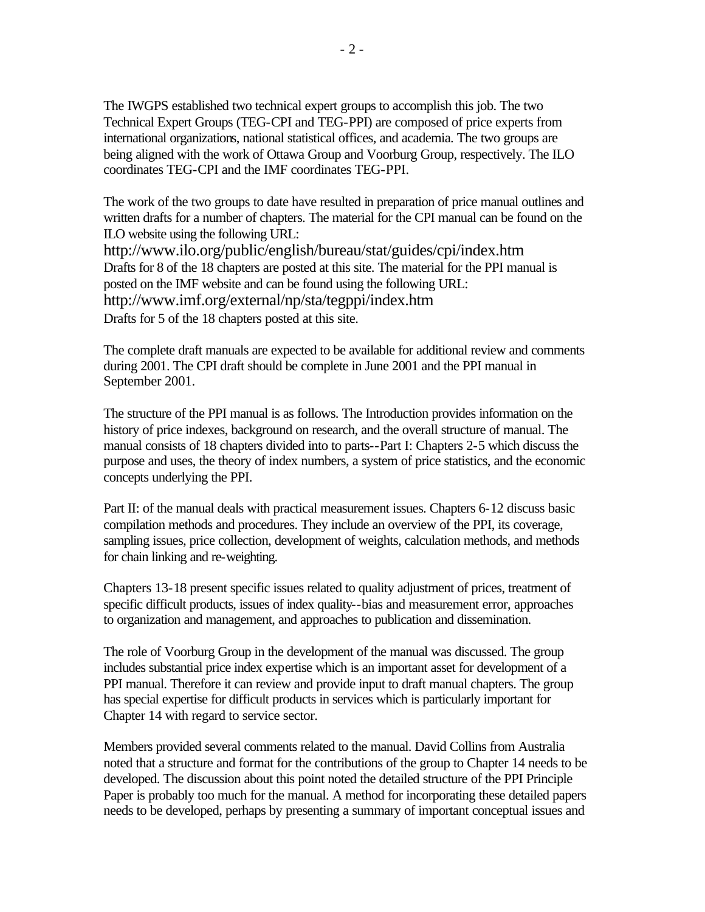The IWGPS established two technical expert groups to accomplish this job. The two Technical Expert Groups (TEG-CPI and TEG-PPI) are composed of price experts from international organizations, national statistical offices, and academia. The two groups are being aligned with the work of Ottawa Group and Voorburg Group, respectively. The ILO coordinates TEG-CPI and the IMF coordinates TEG-PPI.

The work of the two groups to date have resulted in preparation of price manual outlines and written drafts for a number of chapters. The material for the CPI manual can be found on the ILO website using the following URL: http://www.ilo.org/public/english/bureau/stat/guides/cpi/index.htm Drafts for 8 of the 18 chapters are posted at this site. The material for the PPI manual is posted on the IMF website and can be found using the following URL:

http://www.imf.org/external/np/sta/tegppi/index.htm

Drafts for 5 of the 18 chapters posted at this site.

The complete draft manuals are expected to be available for additional review and comments during 2001. The CPI draft should be complete in June 2001 and the PPI manual in September 2001.

The structure of the PPI manual is as follows. The Introduction provides information on the history of price indexes, background on research, and the overall structure of manual. The manual consists of 18 chapters divided into to parts--Part I: Chapters 2-5 which discuss the purpose and uses, the theory of index numbers, a system of price statistics, and the economic concepts underlying the PPI.

Part II: of the manual deals with practical measurement issues. Chapters 6-12 discuss basic compilation methods and procedures. They include an overview of the PPI, its coverage, sampling issues, price collection, development of weights, calculation methods, and methods for chain linking and re-weighting.

Chapters 13-18 present specific issues related to quality adjustment of prices, treatment of specific difficult products, issues of index quality--bias and measurement error, approaches to organization and management, and approaches to publication and dissemination.

The role of Voorburg Group in the development of the manual was discussed. The group includes substantial price index expertise which is an important asset for development of a PPI manual. Therefore it can review and provide input to draft manual chapters. The group has special expertise for difficult products in services which is particularly important for Chapter 14 with regard to service sector.

Members provided several comments related to the manual. David Collins from Australia noted that a structure and format for the contributions of the group to Chapter 14 needs to be developed. The discussion about this point noted the detailed structure of the PPI Principle Paper is probably too much for the manual. A method for incorporating these detailed papers needs to be developed, perhaps by presenting a summary of important conceptual issues and